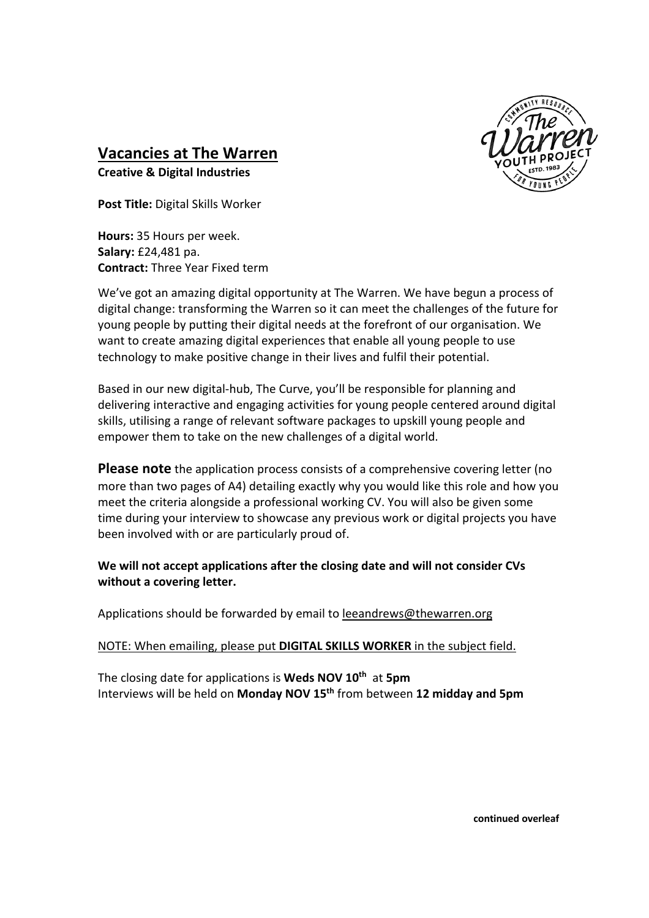

## **Vacancies at The Warren**

**Creative & Digital Industries** 

**Post Title:** Digital Skills Worker

**Hours:** 35 Hours per week. **Salary:** £24,481 pa. **Contract:** Three Year Fixed term

We've got an amazing digital opportunity at The Warren. We have begun a process of digital change: transforming the Warren so it can meet the challenges of the future for young people by putting their digital needs at the forefront of our organisation. We want to create amazing digital experiences that enable all young people to use technology to make positive change in their lives and fulfil their potential.

Based in our new digital-hub, The Curve, you'll be responsible for planning and delivering interactive and engaging activities for young people centered around digital skills, utilising a range of relevant software packages to upskill young people and empower them to take on the new challenges of a digital world.

**Please note** the application process consists of a comprehensive covering letter (no more than two pages of A4) detailing exactly why you would like this role and how you meet the criteria alongside a professional working CV. You will also be given some time during your interview to showcase any previous work or digital projects you have been involved with or are particularly proud of.

**We will not accept applications after the closing date and will not consider CVs without a covering letter.** 

Applications should be forwarded by email to leeandrews@thewarren.org

NOTE: When emailing, please put **DIGITAL SKILLS WORKER** in the subject field.

The closing date for applications is **Weds NOV 10th** at **5pm** Interviews will be held on **Monday NOV 15th** from between **12 midday and 5pm**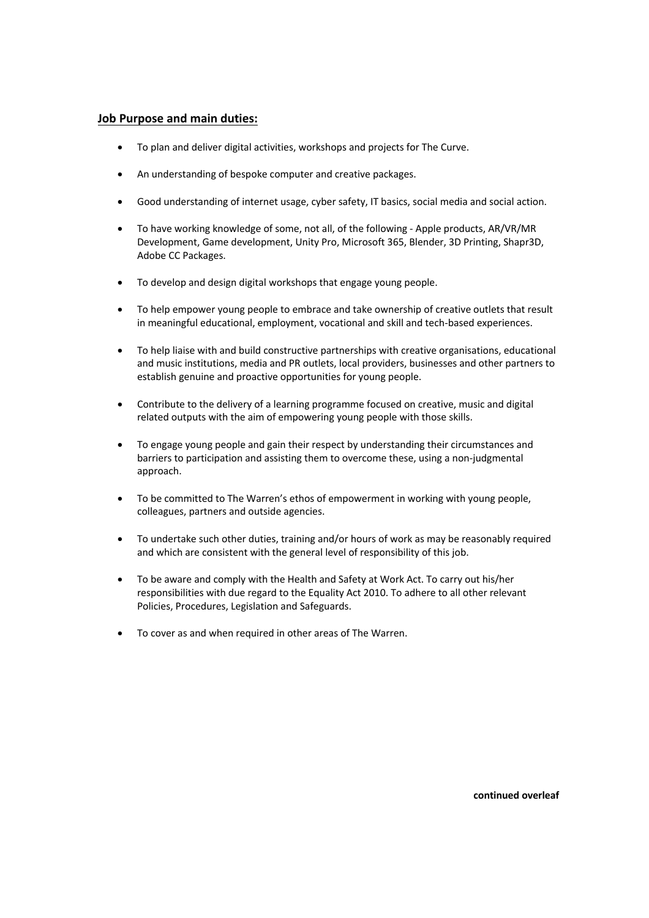## **Job Purpose and main duties:**

- To plan and deliver digital activities, workshops and projects for The Curve.
- An understanding of bespoke computer and creative packages.
- Good understanding of internet usage, cyber safety, IT basics, social media and social action.
- To have working knowledge of some, not all, of the following Apple products, AR/VR/MR Development, Game development, Unity Pro, Microsoft 365, Blender, 3D Printing, Shapr3D, Adobe CC Packages.
- To develop and design digital workshops that engage young people.
- To help empower young people to embrace and take ownership of creative outlets that result in meaningful educational, employment, vocational and skill and tech-based experiences.
- To help liaise with and build constructive partnerships with creative organisations, educational and music institutions, media and PR outlets, local providers, businesses and other partners to establish genuine and proactive opportunities for young people.
- Contribute to the delivery of a learning programme focused on creative, music and digital related outputs with the aim of empowering young people with those skills.
- To engage young people and gain their respect by understanding their circumstances and barriers to participation and assisting them to overcome these, using a non-judgmental approach.
- To be committed to The Warren's ethos of empowerment in working with young people, colleagues, partners and outside agencies.
- To undertake such other duties, training and/or hours of work as may be reasonably required and which are consistent with the general level of responsibility of this job.
- To be aware and comply with the Health and Safety at Work Act. To carry out his/her responsibilities with due regard to the Equality Act 2010. To adhere to all other relevant Policies, Procedures, Legislation and Safeguards.
- To cover as and when required in other areas of The Warren.